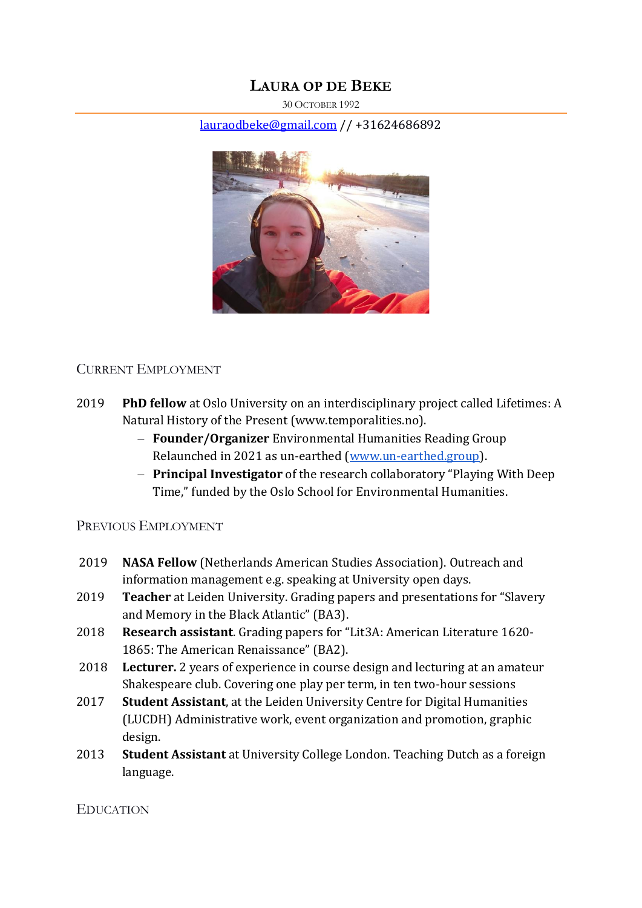# **LAURA OP DE BEKE**

30 OCTOBER 1992

#### [lauraodbeke@gmail.com](mailto:lauraodbeke@gmail.com) // +31624686892



## CURRENT EMPLOYMENT

- 2019 **PhD fellow** at Oslo University on an interdisciplinary project called Lifetimes: A Natural History of the Present (www.temporalities.no).
	- **Founder/Organizer** Environmental Humanities Reading Group Relaunched in 2021 as un-earthed [\(www.un-earthed.group\)](http://www.un-earthed.group/).
	- **Principal Investigator** of the research collaboratory "Playing With Deep Time," funded by the Oslo School for Environmental Humanities.

#### PREVIOUS EMPLOYMENT

- 2019 **NASA Fellow** (Netherlands American Studies Association). Outreach and information management e.g. speaking at University open days.
- 2019 **Teacher** at Leiden University. Grading papers and presentations for "Slavery and Memory in the Black Atlantic" (BA3).
- 2018 **Research assistant**. Grading papers for "Lit3A: American Literature 1620- 1865: The American Renaissance" (BA2).
- 2018 **Lecturer.** 2 years of experience in course design and lecturing at an amateur Shakespeare club. Covering one play per term, in ten two-hour sessions
- 2017 **Student Assistant**, at the Leiden University Centre for Digital Humanities (LUCDH) Administrative work, event organization and promotion, graphic design.
- 2013 **Student Assistant** at University College London. Teaching Dutch as a foreign language.

#### **EDUCATION**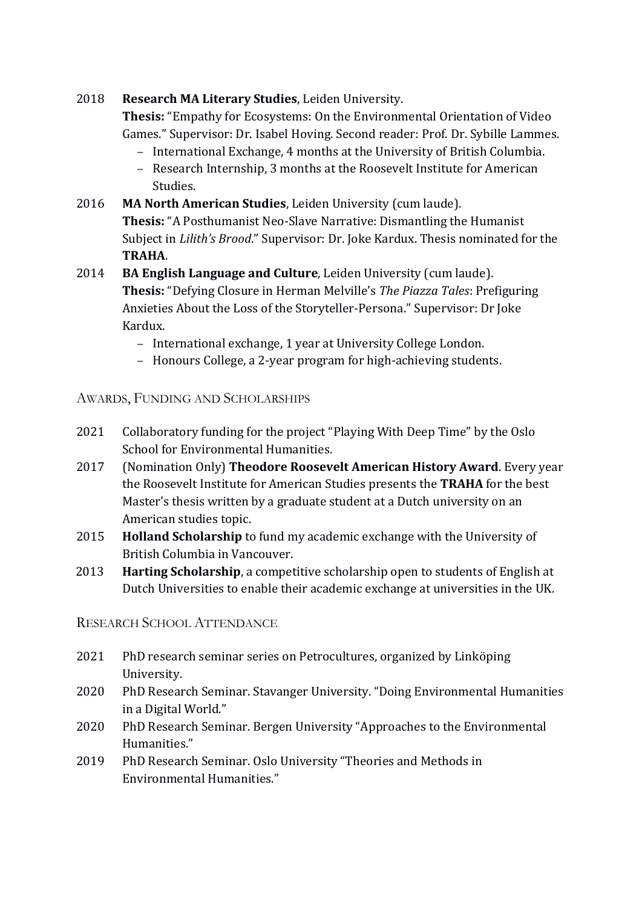## 2018 **Research MA Literary Studies**, Leiden University.

**Thesis:** "Empathy for Ecosystems: On the Environmental Orientation of Video Games." Supervisor: Dr. Isabel Hoving. Second reader: Prof. Dr. Sybille Lammes.

- International Exchange, 4 months at the University of British Columbia.
- Research Internship, 3 months at the Roosevelt Institute for American Studies.
- 2016 **MA North American Studies**, Leiden University (cum laude). **Thesis:** "A Posthumanist Neo-Slave Narrative: Dismantling the Humanist Subject in *Lilith's Brood*." Supervisor: Dr. Joke Kardux. Thesis nominated for the **TRAHA**.
- 2014 **BA English Language and Culture**, Leiden University (cum laude). **Thesis:** "Defying Closure in Herman Melville's *The Piazza Tales*: Prefiguring Anxieties About the Loss of the Storyteller-Persona." Supervisor: Dr Joke Kardux.
	- International exchange, 1 year at University College London.
	- Honours College, a 2-year program for high-achieving students.

## AWARDS, FUNDING AND SCHOLARSHIPS

- 2021 Collaboratory funding for the project "Playing With Deep Time" by the Oslo School for Environmental Humanities.
- 2017 (Nomination Only) **Theodore Roosevelt American History Award**. Every year the Roosevelt Institute for American Studies presents the **TRAHA** for the best Master's thesis written by a graduate student at a Dutch university on an American studies topic.
- 2015 **Holland Scholarship** to fund my academic exchange with the University of British Columbia in Vancouver.
- 2013 **Harting Scholarship**, a competitive scholarship open to students of English at Dutch Universities to enable their academic exchange at universities in the UK.

## RESEARCH SCHOOL ATTENDANCE

- 2021 PhD research seminar series on Petrocultures, organized by Linköping University.
- 2020 PhD Research Seminar. Stavanger University. "Doing Environmental Humanities in a Digital World."
- 2020 PhD Research Seminar. Bergen University "Approaches to the Environmental Humanities."
- 2019 PhD Research Seminar. Oslo University "Theories and Methods in Environmental Humanities."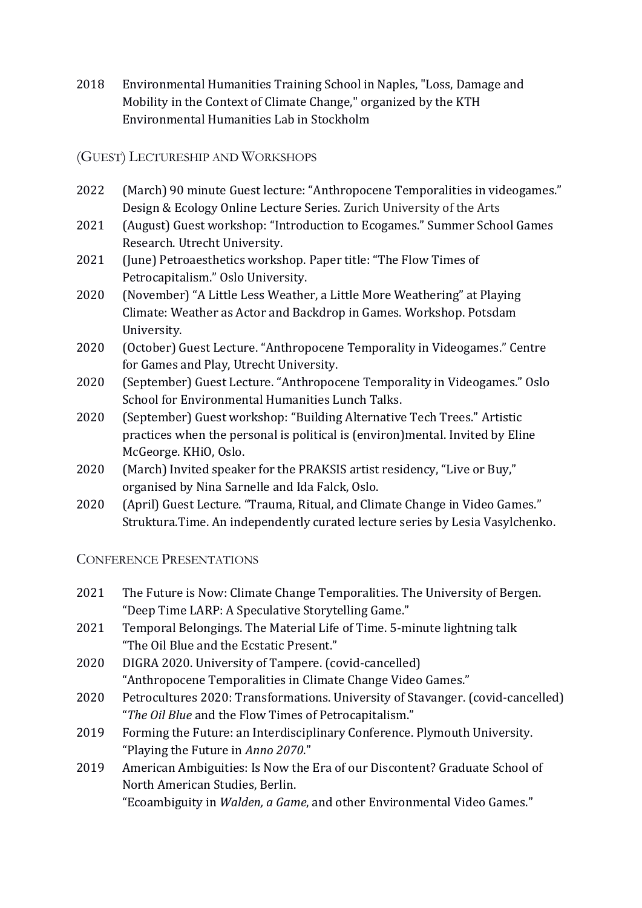2018 Environmental Humanities Training School in Naples, "Loss, Damage and Mobility in the Context of Climate Change," organized by the KTH Environmental Humanities Lab in Stockholm

# (GUEST) LECTURESHIP AND WORKSHOPS

- 2022 (March) 90 minute Guest lecture: "Anthropocene Temporalities in videogames." Design & Ecology Online Lecture Series. Zurich University of the Arts
- 2021 (August) Guest workshop: "Introduction to Ecogames." Summer School Games Research. Utrecht University.
- 2021 (June) Petroaesthetics workshop. Paper title: "The Flow Times of Petrocapitalism." Oslo University.
- 2020 (November) "A Little Less Weather, a Little More Weathering" at Playing Climate: Weather as Actor and Backdrop in Games. Workshop. Potsdam University.
- 2020 (October) Guest Lecture. "Anthropocene Temporality in Videogames." Centre for Games and Play, Utrecht University.
- 2020 (September) Guest Lecture. "Anthropocene Temporality in Videogames." Oslo School for Environmental Humanities Lunch Talks.
- 2020 (September) Guest workshop: "Building Alternative Tech Trees." Artistic practices when the personal is political is (environ)mental. Invited by Eline McGeorge. KHiO, Oslo.
- 2020 (March) Invited speaker for the PRAKSIS artist residency, "Live or Buy," organised by Nina Sarnelle and Ida Falck, Oslo.
- 2020 (April) Guest Lecture. "Trauma, Ritual, and Climate Change in Video Games." Struktura.Time. An independently curated lecture series by Lesia Vasylchenko.

## CONFERENCE PRESENTATIONS

- 2021 The Future is Now: Climate Change Temporalities. The University of Bergen. "Deep Time LARP: A Speculative Storytelling Game."
- 2021 Temporal Belongings. The Material Life of Time. 5-minute lightning talk "The Oil Blue and the Ecstatic Present."
- 2020 DIGRA 2020. University of Tampere. (covid-cancelled) "Anthropocene Temporalities in Climate Change Video Games."
- 2020 Petrocultures 2020: Transformations. University of Stavanger. (covid-cancelled) "*The Oil Blue* and the Flow Times of Petrocapitalism."
- 2019 Forming the Future: an Interdisciplinary Conference. Plymouth University. "Playing the Future in *Anno 2070*."
- 2019 American Ambiguities: Is Now the Era of our Discontent? Graduate School of North American Studies, Berlin. "Ecoambiguity in *Walden, a Game*, and other Environmental Video Games."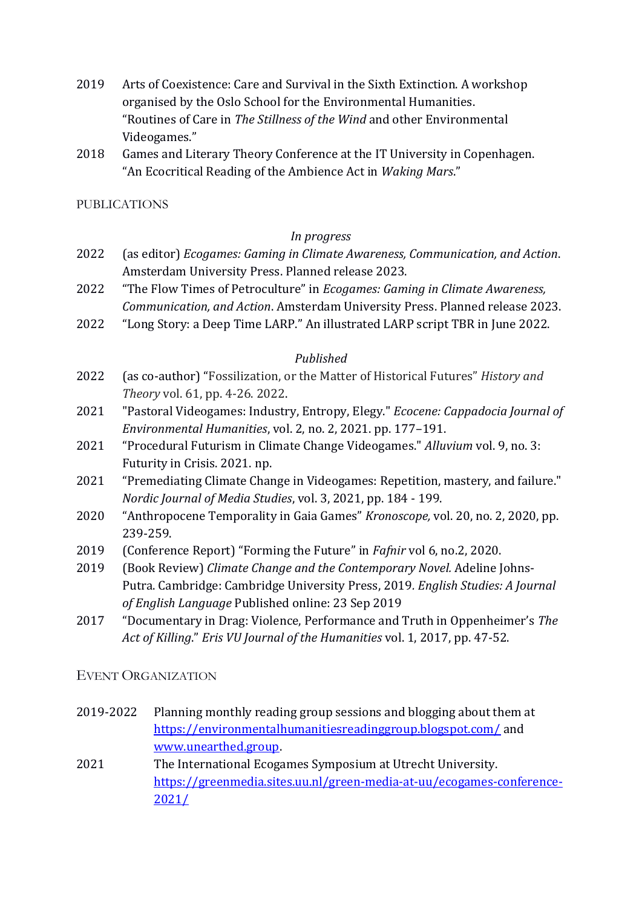- 2019 Arts of Coexistence: Care and Survival in the Sixth Extinction. A workshop organised by the Oslo School for the Environmental Humanities. "Routines of Care in *The Stillness of the Wind* and other Environmental Videogames."
- 2018 Games and Literary Theory Conference at the IT University in Copenhagen. "An Ecocritical Reading of the Ambience Act in *Waking Mars*."

PUBLICATIONS

## *In progress*

- 2022 (as editor) *Ecogames: Gaming in Climate Awareness, Communication, and Action*. Amsterdam University Press. Planned release 2023.
- 2022 "The Flow Times of Petroculture" in *Ecogames: Gaming in Climate Awareness, Communication, and Action*. Amsterdam University Press. Planned release 2023.
- 2022 "Long Story: a Deep Time LARP." An illustrated LARP script TBR in June 2022.

## *Published*

- 2022 (as co-author) "Fossilization, or the Matter of Historical Futures" *History and Theory* vol. 61, pp. 4-26. 2022.
- 2021 "Pastoral Videogames: Industry, Entropy, Elegy." *Ecocene: Cappadocia Journal of Environmental Humanities*, vol. 2, no. 2, 2021. pp. 177–191.
- 2021 "Procedural Futurism in Climate Change Videogames." *Alluvium* vol. 9, no. 3: Futurity in Crisis. 2021. np.
- 2021 "Premediating Climate Change in Videogames: Repetition, mastery, and failure." *Nordic Journal of Media Studies*, vol. 3, 2021, pp. 184 - 199.
- 2020 "Anthropocene Temporality in Gaia Games" *Kronoscope,* vol. 20, no. 2, 2020, pp. 239-259.
- 2019 (Conference Report) "Forming the Future" in *Fafnir* vol 6, no.2, 2020.
- 2019 (Book Review) *Climate Change and the Contemporary Novel.* Adeline Johns-Putra. Cambridge: Cambridge University Press, 2019*. English Studies: A Journal of English Language* Published online: 23 Sep 2019
- 2017 "Documentary in Drag: Violence, Performance and Truth in Oppenheimer's *The Act of Killing*." *Eris VU Journal of the Humanities* vol. 1, 2017, pp. 47-52.

EVENT ORGANIZATION

- 2019-2022 Planning monthly reading group sessions and blogging about them at <https://environmentalhumanitiesreadinggroup.blogspot.com/> and [www.unearthed.group.](http://www.unearthed.group/)
- 2021 The International Ecogames Symposium at Utrecht University. [https://greenmedia.sites.uu.nl/green-media-at-uu/ecogames-conference-](https://greenmedia.sites.uu.nl/green-media-at-uu/ecogames-conference-2021/)[2021/](https://greenmedia.sites.uu.nl/green-media-at-uu/ecogames-conference-2021/)